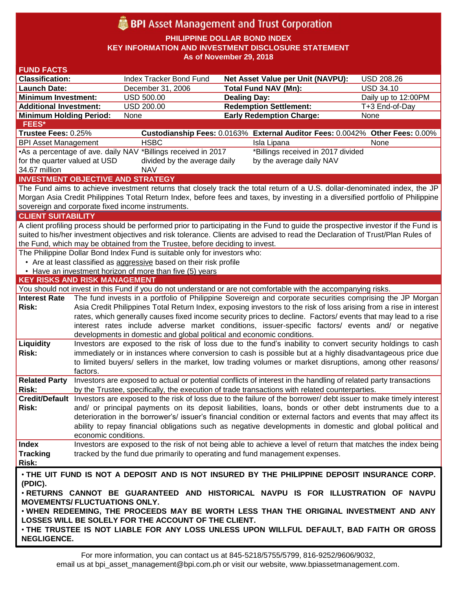# BPI Asset Management and Trust Corporation

**PHILIPPINE DOLLAR BOND INDEX**

**KEY INFORMATION AND INVESTMENT DISCLOSURE STATEMENT**

**As of November 29, 2018**

| <b>FUND FACTS</b>                                                                                                                                       |                                                                                                                                                                                                                                 |                                                                        |                                                                                                                  |                     |  |
|---------------------------------------------------------------------------------------------------------------------------------------------------------|---------------------------------------------------------------------------------------------------------------------------------------------------------------------------------------------------------------------------------|------------------------------------------------------------------------|------------------------------------------------------------------------------------------------------------------|---------------------|--|
| <b>Classification:</b>                                                                                                                                  |                                                                                                                                                                                                                                 | Index Tracker Bond Fund                                                | Net Asset Value per Unit (NAVPU):                                                                                | <b>USD 208.26</b>   |  |
| <b>Launch Date:</b>                                                                                                                                     |                                                                                                                                                                                                                                 | December 31, 2006                                                      | <b>Total Fund NAV (Mn):</b>                                                                                      | <b>USD 34.10</b>    |  |
| <b>Minimum Investment:</b>                                                                                                                              |                                                                                                                                                                                                                                 | <b>USD 500.00</b>                                                      | <b>Dealing Day:</b>                                                                                              | Daily up to 12:00PM |  |
| <b>Additional Investment:</b>                                                                                                                           |                                                                                                                                                                                                                                 | <b>USD 200.00</b>                                                      | <b>Redemption Settlement:</b>                                                                                    | T+3 End-of-Day      |  |
| <b>Minimum Holding Period:</b>                                                                                                                          |                                                                                                                                                                                                                                 | None                                                                   | <b>Early Redemption Charge:</b>                                                                                  | None                |  |
| <b>FEES*</b>                                                                                                                                            |                                                                                                                                                                                                                                 |                                                                        |                                                                                                                  |                     |  |
| Trustee Fees: 0.25%                                                                                                                                     |                                                                                                                                                                                                                                 |                                                                        | Custodianship Fees: 0.0163% External Auditor Fees: 0.0042% Other Fees: 0.00%                                     |                     |  |
| <b>BPI Asset Management</b>                                                                                                                             |                                                                                                                                                                                                                                 | <b>HSBC</b>                                                            | Isla Lipana                                                                                                      | None                |  |
| •As a percentage of ave. daily NAV *Billings received in 2017<br>*Billings received in 2017 divided                                                     |                                                                                                                                                                                                                                 |                                                                        |                                                                                                                  |                     |  |
| for the quarter valued at USD<br>divided by the average daily<br>by the average daily NAV                                                               |                                                                                                                                                                                                                                 |                                                                        |                                                                                                                  |                     |  |
| 34.67 million<br><b>NAV</b>                                                                                                                             |                                                                                                                                                                                                                                 |                                                                        |                                                                                                                  |                     |  |
| <b>INVESTMENT OBJECTIVE AND STRATEGY</b>                                                                                                                |                                                                                                                                                                                                                                 |                                                                        |                                                                                                                  |                     |  |
| The Fund aims to achieve investment returns that closely track the total return of a U.S. dollar-denominated index, the JP                              |                                                                                                                                                                                                                                 |                                                                        |                                                                                                                  |                     |  |
| Morgan Asia Credit Philippines Total Return Index, before fees and taxes, by investing in a diversified portfolio of Philippine                         |                                                                                                                                                                                                                                 |                                                                        |                                                                                                                  |                     |  |
| sovereign and corporate fixed income instruments.                                                                                                       |                                                                                                                                                                                                                                 |                                                                        |                                                                                                                  |                     |  |
| <b>CLIENT SUITABILITY</b>                                                                                                                               |                                                                                                                                                                                                                                 |                                                                        |                                                                                                                  |                     |  |
| A client profiling process should be performed prior to participating in the Fund to guide the prospective investor if the Fund is                      |                                                                                                                                                                                                                                 |                                                                        |                                                                                                                  |                     |  |
| suited to his/her investment objectives and risk tolerance. Clients are advised to read the Declaration of Trust/Plan Rules of                          |                                                                                                                                                                                                                                 |                                                                        |                                                                                                                  |                     |  |
| the Fund, which may be obtained from the Trustee, before deciding to invest.                                                                            |                                                                                                                                                                                                                                 |                                                                        |                                                                                                                  |                     |  |
| The Philippine Dollar Bond Index Fund is suitable only for investors who:                                                                               |                                                                                                                                                                                                                                 |                                                                        |                                                                                                                  |                     |  |
| • Are at least classified as aggressive based on their risk profile<br>• Have an investment horizon of more than five (5) years                         |                                                                                                                                                                                                                                 |                                                                        |                                                                                                                  |                     |  |
|                                                                                                                                                         |                                                                                                                                                                                                                                 |                                                                        |                                                                                                                  |                     |  |
| <b>KEY RISKS AND RISK MANAGEMENT</b><br>You should not invest in this Fund if you do not understand or are not comfortable with the accompanying risks. |                                                                                                                                                                                                                                 |                                                                        |                                                                                                                  |                     |  |
| <b>Interest Rate</b>                                                                                                                                    |                                                                                                                                                                                                                                 |                                                                        |                                                                                                                  |                     |  |
| <b>Risk:</b>                                                                                                                                            | The fund invests in a portfolio of Philippine Sovereign and corporate securities comprising the JP Morgan<br>Asia Credit Philippines Total Return Index, exposing investors to the risk of loss arising from a rise in interest |                                                                        |                                                                                                                  |                     |  |
|                                                                                                                                                         | rates, which generally causes fixed income security prices to decline. Factors/ events that may lead to a rise                                                                                                                  |                                                                        |                                                                                                                  |                     |  |
|                                                                                                                                                         | interest rates include adverse market conditions, issuer-specific factors/ events and/ or negative                                                                                                                              |                                                                        |                                                                                                                  |                     |  |
|                                                                                                                                                         |                                                                                                                                                                                                                                 | developments in domestic and global political and economic conditions. |                                                                                                                  |                     |  |
| Liquidity                                                                                                                                               |                                                                                                                                                                                                                                 |                                                                        | Investors are exposed to the risk of loss due to the fund's inability to convert security holdings to cash       |                     |  |
| Risk:                                                                                                                                                   | immediately or in instances where conversion to cash is possible but at a highly disadvantageous price due                                                                                                                      |                                                                        |                                                                                                                  |                     |  |
|                                                                                                                                                         |                                                                                                                                                                                                                                 |                                                                        | to limited buyers/ sellers in the market, low trading volumes or market disruptions, among other reasons/        |                     |  |
|                                                                                                                                                         | factors.                                                                                                                                                                                                                        |                                                                        |                                                                                                                  |                     |  |
| <b>Related Party</b>                                                                                                                                    |                                                                                                                                                                                                                                 |                                                                        | Investors are exposed to actual or potential conflicts of interest in the handling of related party transactions |                     |  |
| Risk:                                                                                                                                                   |                                                                                                                                                                                                                                 |                                                                        | by the Trustee, specifically, the execution of trade transactions with related counterparties.                   |                     |  |
|                                                                                                                                                         | Credit/Default Investors are exposed to the risk of loss due to the failure of the borrower/debt issuer to make timely interest                                                                                                 |                                                                        |                                                                                                                  |                     |  |
| Risk:                                                                                                                                                   | and/ or principal payments on its deposit liabilities, loans, bonds or other debt instruments due to a                                                                                                                          |                                                                        |                                                                                                                  |                     |  |
|                                                                                                                                                         |                                                                                                                                                                                                                                 |                                                                        | deterioration in the borrower's/ issuer's financial condition or external factors and events that may affect its |                     |  |
|                                                                                                                                                         |                                                                                                                                                                                                                                 |                                                                        | ability to repay financial obligations such as negative developments in domestic and global political and        |                     |  |
|                                                                                                                                                         | economic conditions.                                                                                                                                                                                                            |                                                                        |                                                                                                                  |                     |  |
| Index                                                                                                                                                   |                                                                                                                                                                                                                                 |                                                                        | Investors are exposed to the risk of not being able to achieve a level of return that matches the index being    |                     |  |
| <b>Tracking</b>                                                                                                                                         |                                                                                                                                                                                                                                 |                                                                        | tracked by the fund due primarily to operating and fund management expenses.                                     |                     |  |
| <b>Risk:</b>                                                                                                                                            |                                                                                                                                                                                                                                 |                                                                        |                                                                                                                  |                     |  |
| . THE UIT FUND IS NOT A DEPOSIT AND IS NOT INSURED BY THE PHILIPPINE DEPOSIT INSURANCE CORP.                                                            |                                                                                                                                                                                                                                 |                                                                        |                                                                                                                  |                     |  |
| (PDIC).                                                                                                                                                 |                                                                                                                                                                                                                                 |                                                                        |                                                                                                                  |                     |  |
| . RETURNS CANNOT BE GUARANTEED AND HISTORICAL NAVPU IS FOR ILLUSTRATION OF NAVPU                                                                        |                                                                                                                                                                                                                                 |                                                                        |                                                                                                                  |                     |  |
| <b>MOVEMENTS/ FLUCTUATIONS ONLY.</b>                                                                                                                    |                                                                                                                                                                                                                                 |                                                                        |                                                                                                                  |                     |  |
| . WHEN REDEEMING, THE PROCEEDS MAY BE WORTH LESS THAN THE ORIGINAL INVESTMENT AND ANY                                                                   |                                                                                                                                                                                                                                 |                                                                        |                                                                                                                  |                     |  |
| LOSSES WILL BE SOLELY FOR THE ACCOUNT OF THE CLIENT.                                                                                                    |                                                                                                                                                                                                                                 |                                                                        |                                                                                                                  |                     |  |
| . THE TRUSTEE IS NOT LIABLE FOR ANY LOSS UNLESS UPON WILLFUL DEFAULT, BAD FAITH OR GROSS                                                                |                                                                                                                                                                                                                                 |                                                                        |                                                                                                                  |                     |  |
| <b>NEGLIGENCE.</b>                                                                                                                                      |                                                                                                                                                                                                                                 |                                                                        |                                                                                                                  |                     |  |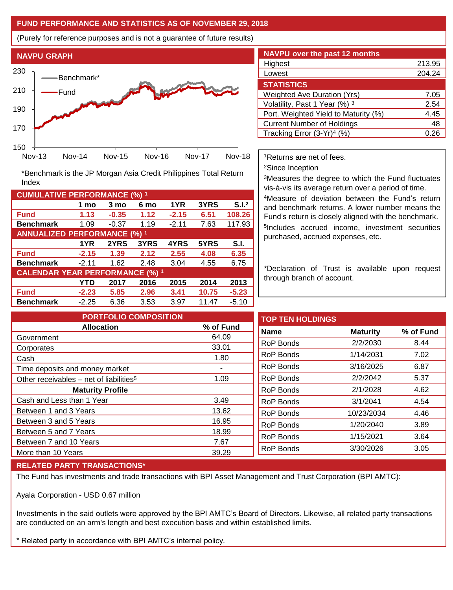### **FUND PERFORMANCE AND STATISTICS AS OF NOVEMBER 29, 2018**

(Purely for reference purposes and is not a guarantee of future results)



**Fund 1.13 -0.35 1.12 -2.15 6.51 108.26 Benchmark** 1.09 -0.37 1.19 -2.11 7.63 117.93

\*Benchmark is the JP Morgan Asia Credit Philippines Total Return

**Fund -2.15 1.39 2.12 2.55 4.08 6.35 Benchmark** -2.11 1.62 2.48 3.04 4.55 6.75

**Fund -2.23 5.85 2.96 3.41 10.75 -5.23 Benchmark** -2.25 6.36 3.53 3.97 11.47 -5.10

**1 mo 3 mo 6 mo 1YR 3YRS S.I.<sup>2</sup>**

**1YR 2YRS 3YRS 4YRS 5YRS S.I.**

**YTD 2017 2016 2015 2014 2013**

| <b>NAVPU over the past 12 months</b>   |                  |
|----------------------------------------|------------------|
| Highest                                | 213.95           |
| Lowest                                 | 204.24           |
| <b>STATISTICS</b>                      |                  |
| <b>Weighted Ave Duration (Yrs)</b>     | 7.05             |
| Volatility, Past 1 Year (%) 3          | 2.54             |
| Port. Weighted Yield to Maturity (%)   | 4.45             |
| <b>Current Number of Holdings</b>      | 48               |
| Tracking Error (3-Yr) <sup>4</sup> (%) | 0.2 <sup>t</sup> |

<sup>1</sup>Returns are net of fees.

<sup>2</sup>Since Inception

<sup>3</sup>Measures the degree to which the Fund fluctuates vis-à-vis its average return over a period of time.

<sup>4</sup>Measure of deviation between the Fund's return and benchmark returns. A lower number means the Fund's return is closely aligned with the benchmark. 5 Includes accrued income, investment securities purchased, accrued expenses, etc.

\*Declaration of Trust is available upon request through branch of account.

**TOP TEN HOLDINGS Name Maturity % of Fund** RoP Bonds 2/2/2030 8.44 RoP Bonds 1/14/2031 7.02 RoP Bonds 3/16/2025 6.87 RoP Bonds 2/2/2042 5.37 RoP Bonds 2/1/2028 4.62 RoP Bonds 3/1/2041 4.54 RoP Bonds 10/23/2034 4.46 RoP Bonds 1/20/2040 3.89 RoP Bonds 1/15/2021 3.64 RoP Bonds 3/30/2026 3.05 **PORTFOLIO COMPOSITION Allocation % of Fund** Government 64.09 Corporates 33.01 Cash 1.80 Time deposits and money market **Fig. 1.1.** Other receivables – net of liabilities<sup>5</sup>  $1.09$ **Maturity Profile** Cash and Less than 1 Year 3.49 Between 1 and 3 Years 13.62 Between 3 and 5 Years 16.95 Between 5 and 7 Years 18.99 Between 7 and 10 Years 7.67 More than 10 Years 39.29

## **RELATED PARTY TRANSACTIONS\***

**CUMULATIVE PERFORMANCE (%) <sup>1</sup>**

Index

**ANNUALIZED PERFORMANCE (%) <sup>1</sup>**

**CALENDAR YEAR PERFORMANCE (%) <sup>1</sup>**

The Fund has investments and trade transactions with BPI Asset Management and Trust Corporation (BPI AMTC):

Ayala Corporation - USD 0.67 million

Investments in the said outlets were approved by the BPI AMTC's Board of Directors. Likewise, all related party transactions are conducted on an arm's length and best execution basis and within established limits.

\* Related party in accordance with BPI AMTC's internal policy.